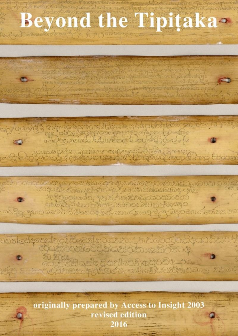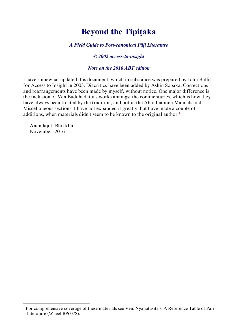# **Beyond the Tipiṭaka**

#### *A Field Guide to Post-canonical Pāḷi Literature*

#### *© 2002 access-to-insight*

#### *Note on the 2016 ABT edition*

I have somewhat updated this document, which in substance was prepared by John Bullit for Access to Insight in 2003. Diacritics have been added by Ashin Sopāka. Corrections and rearrangements have been made by myself, without notice. One major difference is the inclusion of Ven Buddhadatta's works amongst the commentaries, which is how they have always been treated by the tradition, and not in the Abhidhamma Manuals and Miscellaneous sections. I have not expanded it greatly, but have made a couple of additions, when materials didn't seem to be known to the original author.<sup>1</sup>

Anandajoti Bhikkhu November, 2016

<sup>&</sup>lt;sup>1</sup> For comprehensive coverage of these materials see Ven. Nyanatusita's, A Reference Table of Pali Literature (Wheel BP607S).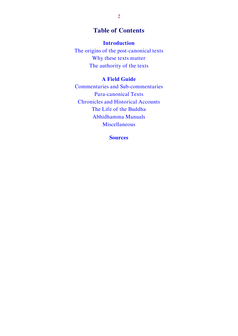# **Table of Contents**

#### **[Introduction](#page-3-0)**

[The origins of the post-canonical texts](#page-3-1) [Why these texts matter](#page-4-0) [The authority of the texts](#page-5-0)

# **[A Field Guide](#page-6-0)**

[Commentaries and Sub-commentaries](#page-6-1) [Para-canonical Texts](#page-8-0) [Chronicles and Historical Accounts](#page-9-0) [The Life of the Buddha](#page-10-0) [Abhidhamma Manuals](#page-11-0) [Miscellaneous](#page-11-1)

**[Sources](#page-12-0)**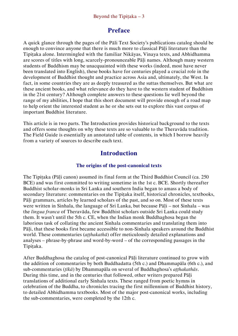# **Preface**

A quick glance through the pages of the Pāli Text Society's publications catalog should be enough to convince anyone that there is much more to classical Pāḷi literature than the Tipitaka alone. Intermingled with the familiar Nikāyas, Vinaya texts, and Abhidhamma are scores of titles with long, scarcely-pronounceable Pāḷi names. Although many western students of Buddhism may be unacquainted with these works (indeed, most have never been translated into English), these books have for centuries played a crucial role in the development of Buddhist thought and practice across Asia and, ultimately, the West. In fact, in some countries they are as deeply treasured as the suttas themselves. But what are these ancient books, and what relevance do they have to the western student of Buddhism in the 21st century? Although complete answers to these questions lie well beyond the range of my abilities, I hope that this short document will provide enough of a road map to help orient the interested student as he or she sets out to explore this vast corpus of important Buddhist literature.

This article is in two parts. The Introduction provides historical background to the texts and offers some thoughts on why these texts are so valuable to the Theravāda tradition. The Field Guide is essentially an annotated table of contents, in which I borrow heavily from a variety of sources to describe each text.

# <span id="page-3-1"></span><span id="page-3-0"></span>**Introduction**

#### **The origins of the post-canonical texts**

The Tipitaka (Pāli canon) assumed its final form at the Third Buddhist Council (ca. 250 BCE) and was first committed to writing sometime in the 1st c. BCE. Shortly thereafter Buddhist scholar-monks in Sri Lanka and southern India began to amass a body of secondary literature: commentaries on the Tipitaka itself, historical chronicles, textbooks, Pāḷi grammars, articles by learned scholars of the past, and so on. Most of these texts were written in Sinhala, the language of Sri Lanka, but because Pāli – not Sinhala – was the *lingua franca* of Theravāda, few Buddhist scholars outside Sri Lanka could study them. It wasn't until the 5th c. CE, when the Indian monk Buddhaghosa began the laborious task of collating the ancient Sinhala commentaries and translating them into Pāḷi, that these books first became accessible to non-Sinhala speakers around the Buddhist world. These commentaries (*aṭṭhakathā*) offer meticulously detailed explanations and analyses – phrase-by-phrase and word-by-word – of the corresponding passages in the Tipitaka.

After Buddhaghosa the catalog of post-canonical Pāḷi literature continued to grow with the addition of commentaries by both Buddhadatta (5th c.) and Dhammapāla (6th c.), and sub-commentaries (*ṭīkā*) by Dhammapāla on several of Buddhaghosa's *aṭṭhakathās*. During this time, and in the centuries that followed, other writers prepared Pāḷi translations of additional early Sinhala texts. These ranged from poetic hymns in celebration of the Buddha, to chronicles tracing the first millennium of Buddhist history, to detailed Abhidhamma textbooks. Most of the major post-canonical works, including the sub-commentaries, were completed by the 12th c.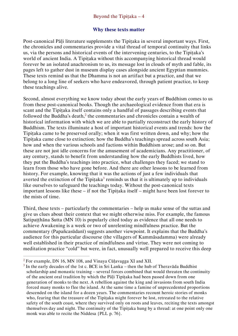#### <span id="page-4-0"></span>**Why these texts matter**

Post-canonical Pāli literature supplements the Tipitaka in several important ways. First, the chronicles and commentaries provide a vital thread of temporal continuity that links us, via the persons and historical events of the intervening centuries, to the Tipitaka's world of ancient India. A Tipitaka without this accompanying historical thread would forever be an isolated anachronism to us, its message lost in clouds of myth and fable, its pages left to gather dust in museum display cases alongside ancient Egyptian mummies. These texts remind us that the Dhamma is not an artifact but a practice, and that we belong to a long line of seekers who have endeavored, through patient practice, to keep these teachings alive.

Second, almost everything we know today about the early years of Buddhism comes to us from these post-canonical books. Though the archaeological evidence from that era is scant and the Tipitaka itself contains only a handful of passages describing events that followed the Buddha's death, $2$  the commentaries and chronicles contain a wealth of historical information with which we are able to partially reconstruct the early history of Buddhism. The texts illuminate a host of important historical events and trends: how the Tipitaka came to be preserved orally; when it was first written down, and why; how the Tipitaka came close to extinction; how the Buddha's teachings spread across south Asia; how and when the various schools and factions within Buddhism arose; and so on. But these are not just idle concerns for the amusement of academicians. Any practitioner, of any century, stands to benefit from understanding how the early Buddhists lived, how they put the Buddha's teachings into practice, what challenges they faced; we stand to learn from those who have gone before. And there are other lessons to be learned from history. For example, knowing that it was the actions of just a few individuals that averted the extinction of the Tipiṭaka<sup>3</sup> reminds us that it is ultimately up to individuals like ourselves to safeguard the teachings today. Without the post-canonical texts important lessons like these – if not the Tipiṭaka itself – might have been lost forever to the mists of time.

Third, these texts – particularly the commentaries – help us make sense of the suttas and give us clues about their context that we might otherwise miss. For example, the famous Satipaṭṭhāna Sutta (MN 10) is popularly cited today as evidence that all one needs to achieve Awakening is a week or two of unrelenting mindfulness practice. But the commentary (Papañcasūdanī) suggests another viewpoint. It explains that the Buddha's audience for this particular discourse (the villagers of Kammāsadamma) were already well established in their practice of mindfulness and virtue. They were not coming to meditation practice "cold" but were, in fact, unusually well prepared to receive this deep

<sup>2</sup> For example, DN 16, MN 108, and Vinaya Cūḷavagga XI and XII.

<sup>&</sup>lt;sup>3</sup> In the early decades of the 1st c. BCE in Sri Lanka – then the hub of Theravada Buddhist scholarship and monastic training – several forces combined that would threaten the continuity of the ancient oral tradition by which the Pāḷi Tipiṭaka had been passed down from one generation of monks to the next. A rebellion against the king and invasions from south India forced many monks to flee the island. At the same time a famine of unprecedented proportions descended on the island for a dozen years. The commentaries recount heroic stories of monks who, fearing that the treasure of the Tipitaka might forever be lost, retreated to the relative safety of the south coast, where they survived only on roots and leaves, reciting the texts amongst themselves day and night. The continuity of the Tipitaka hung by a thread: at one point only one monk was able to recite the Niddesa {PLL p. 76}.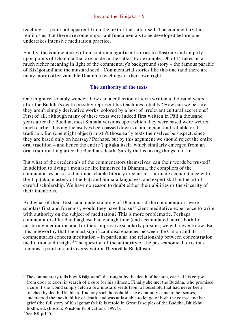teaching – a point not apparent from the text of the sutta itself. The commentary thus reminds us that there are some important fundamentals to be developed before one undertakes intensive meditation practice.

Finally, the commentaries often contain magnificent stories to illustrate and amplify upon points of Dhamma that are made in the suttas. For example, Dhp 114 takes on a much richer meaning in light of the commentary's background story – the famous parable of Kisāgotamī and the mustard seed.<sup>4</sup> Commentarial stories like this one (and there are many more) offer valuable Dhamma teachings in their own right.

#### <span id="page-5-0"></span>**The authority of the texts**

One might reasonably wonder: how can a collection of texts written a thousand years after the Buddha's death possibly represent his teachings reliably? How can we be sure they aren't simply derivative works, colored by a host of irrelevant cultural accretions? First of all, although many of these texts were indeed first written in Pali a thousand years after the Buddha, most Sinhala versions upon which they were based were written much earlier, having themselves been passed down via an ancient and reliable oral tradition. But (one might object) mustn't those early texts themselves be suspect, since they are based only on hearsay? Perhaps, but by this argument we should reject the entire oral tradition – and hence the entire Tipiṭaka itself, which similarly emerged from an oral tradition long after the Buddha's death. Surely that is taking things too far.

But what of the credentials of the commentators themselves: can their words be trusted? In addition to living a monastic life immersed in Dhamma, the compilers of the commentaries possessed unimpeachable literary credentials: intimate acquaintance with the Tipiṭaka, mastery of the Pāḷi and Sinhala languages, and expert skill in the art of careful scholarship. We have no reason to doubt either their abilities or the sincerity of their intentions.

And what of their first-hand understanding of Dhamma: if the commentators were scholars first and foremost, would they have had sufficient meditative experience to write with authority on the subject of meditation? This is more problematic. Perhaps commentators like Buddhaghosa had enough time (and accumulated merit) both for mastering meditation and for their impressive scholarly pursuits; we will never know. But it is noteworthy that the most significant discrepancies between the Canon and its commentaries concern meditation – in particular, the relationship between concentration meditation and insight.<sup>5</sup> The question of the authority of the post-canonical texts thus remains a point of controversy within Theravāda Buddhism.

 $4$  The commentary tells how Kisagotami, distraught by the death of her son, carried his corpse from door to door, in search of a cure for his ailment. Finally she met the Buddha, who promised a cure if she would simply fetch a few mustard seeds from a household that had never been touched by death. Unable to find any such household, she eventually came to her senses, understood the inevitability of death, and was at last able to let go of both the corpse and her grief (the full story of Kisāgotamī's life is retold in Great Disciples of the Buddha, Bhikkhu Bodhi, ed. (Boston: Wisdom Publications, 1997)).

<sup>5</sup> See BR p.145.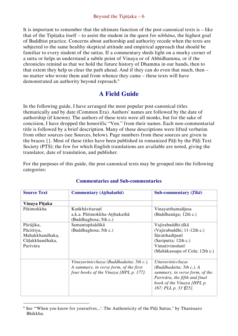It is important to remember that the ultimate function of the post-canonical texts is – like that of the Tipiṭaka itself – to assist the student in the quest for *nibbāna*, the highest goal of Buddhist practice. Concerns about authorship and authority recede when the texts are subjected to the same healthy skeptical attitude and empirical approach that should be familiar to every student of the suttas. If a commentary sheds light on a murky corner of a sutta or helps us understand a subtle point of Vinaya or of Abhidhamma, or if the chronicles remind us that we hold the future history of Dhamma in our hands, then to that extent they help us clear the path ahead. And if they can do even that much, then – no matter who wrote them and from whence they came – these texts will have demonstrated an authority beyond reproach.<sup>6</sup>

# <span id="page-6-0"></span>**A Field Guide**

In the following guide, I have arranged the most popular post-canonical titles thematically and by date (Common Era). Authors' names are followed by the date of authorship (if known). The authors of these texts were all monks, but for the sake of concision, I have dropped the honorific "Ven." from their names. Each non-commentarial title is followed by a brief description. Many of these descriptions were lifted verbatim from other sources (see Sources, below). Page numbers from these sources are given in the braces {}. Most of these titles have been published in romanized Pāḷi by the Pāḷi Text Society (PTS); the few for which English translations are available are noted, giving the translator, date of translation, and publisher.

For the purposes of this guide, the post-canonical texts may be grouped into the following categories:

| <b>Source Text</b>                                                        | Commentary (Atthakathā)                                                                                                     | Sub-commentary $(T\bar{u}\bar{k}\bar{a})$                                                                                                                                    |
|---------------------------------------------------------------------------|-----------------------------------------------------------------------------------------------------------------------------|------------------------------------------------------------------------------------------------------------------------------------------------------------------------------|
| Vinaya Piţaka                                                             |                                                                                                                             |                                                                                                                                                                              |
| Pātimokkha                                                                | Kankhāvitaranī<br>a.k.a. Pātimokkha-Atthakathā<br>(Buddhaghosa; 5th c.)                                                     | Vinayatthamañjusa<br>(Buddhanāga; 12th c.)                                                                                                                                   |
| Pārājika,<br>Pācittiya,<br>Mahakkhandhaka,<br>Cūlakkhandhaka,<br>Parivāra | Samantapāsādikā<br>(Buddhaghosa; 5th c.)                                                                                    | Vajirabuddhi-țīkā<br>(Vajirabuddhi; 11-12th c.)<br>Sāratthadīpanī<br>(Sariputta; 12th c.)<br>Vimativinodanī<br>(Mahākassapa of Cola; 12th c.)                                |
|                                                                           | Vinayavinicchaya (Buddhadatta; 5th c.).<br>A summary, in verse form, of the first<br>four books of the Vinaya {HPL p. 177}. | Uttaravinicchaya<br>$(Buddhadatta; 5th c.).$ A<br>summary, in verse form, of the<br>Parivāra, the fifth and final<br>book of the Vinaya {HPL p.<br>167; PLL p. 33 $\{25\}$ . |

## <span id="page-6-1"></span>**Commentaries and Sub-commentaries**

 $\overline{a}$ <sup>6</sup> See "'When you know for yourselves...': The Authenticity of the Pāḷi Suttas," by Thanissaro Bhikkhu.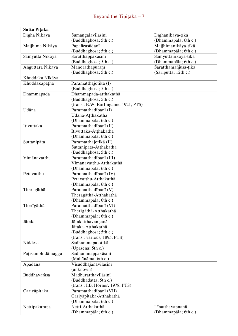| Sutta Pițaka      |                                      |                      |
|-------------------|--------------------------------------|----------------------|
| Dīgha Nikāya      | Sumangalavilāsinī                    | Dīghanikāya-țīkā     |
|                   | (Buddhaghosa; 5th c.)                | (Dhammapāla; 6th c.) |
| Majjhima Nikāya   | Papañcasūdanī                        | Majjhimanikāya-țīkā  |
|                   | (Buddhaghosa; 5th c.)                | (Dhammapāla; 6th c.) |
| Samyutta Nikāya   | Sāratthappakāsinī                    | Samyuttanikāya-țīkā  |
|                   | (Buddhaghosa; 5th c.)                | (Dhammapāla; 6th c.) |
| Anguttara Nikāya  | Manorathapūraņī                      | Sāratthamañjusa-țīkā |
|                   | (Buddhaghosa; 5th c.)                | (Sariputta; 12th c.) |
| Khuddaka Nikāya   |                                      |                      |
| Khuddakapāṭha     | Paramatthajotikā (I)                 |                      |
|                   | (Buddhaghosa; 5th c.)                |                      |
| Dhammapada        | Dhammapada-atthakathā                |                      |
|                   | (Buddhaghosa; 5th c.)                |                      |
|                   | (trans.: E.W. Burlingame, 1921, PTS) |                      |
| Udāna             | Paramatthadīpanī (I)                 |                      |
|                   | Udana-Atthakathā                     |                      |
|                   | (Dhammapāla; 6th c.)                 |                      |
| Itivuttaka        | Paramatthadīpanī (II)                |                      |
|                   | Itivuttaka-Ațțhakathā                |                      |
|                   | (Dhammapāla; 6th c.)                 |                      |
| Suttanipāta       | Paramatthajotikā (II)                |                      |
|                   | Suttanipāta-Atthakathā               |                      |
|                   | (Buddhaghosa; 5th c.)                |                      |
| Vimānavatthu      | Paramatthadīpanī (III)               |                      |
|                   | Vimanavatthu-Atthakathā              |                      |
|                   | (Dhammapāla; 6th c.)                 |                      |
| Petavatthu        | Paramatthadīpanī (IV)                |                      |
|                   | Petavatthu-Atthakathā                |                      |
|                   | (Dhammapāla; 6th c.)                 |                      |
| Theragāthā        | Paramatthadīpanī (V)                 |                      |
|                   | Theragāthā-Atthakathā                |                      |
|                   | (Dhammapāla; 6th c.)                 |                      |
| Therīgāthā        | Paramatthadīpanī (VI)                |                      |
|                   | Therīgāthā-Aṭṭhakathā                |                      |
|                   | (Dhammapāla; 6th c.)                 |                      |
| Jātaka            | Jātakatthavannanā                    |                      |
|                   | Jātaka-Atthakathā                    |                      |
|                   | (Buddhaghosa; 5th c.)                |                      |
|                   | (trans.: various, 1895, PTS)         |                      |
| Niddesa           | Sadhammapajotikā                     |                      |
|                   | (Upasena; 5th c.)                    |                      |
| Pațisambhidāmagga | Sadhammappakāsinī                    |                      |
|                   | (Mahānāma; 6th c.)                   |                      |
| Apadāna           | Visuddhajanavilāsinī                 |                      |
|                   | (unknown)                            |                      |
| Buddhavamsa       | Madhuratthavilāsinī                  |                      |
|                   | (Buddhadatta; 5th c.)                |                      |
|                   | (trans.: I.B. Horner, 1978, PTS)     |                      |
| Cariyāpițaka      | Paramatthadīpanī (VII)               |                      |
|                   | Cariyāpițaka-Ațțhakathā              |                      |
|                   | (Dhammapāla; 6th c.)                 |                      |
| Nettipakarana     | Netti-Atthakathā                     | Līnatthavannanā      |
|                   | (Dhammapāla; 6th c.)                 | (Dhammapāla; 6th c.) |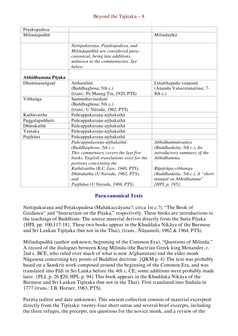| Petakopadesa      |                                                                                                                                                         |                                                                  |
|-------------------|---------------------------------------------------------------------------------------------------------------------------------------------------------|------------------------------------------------------------------|
| Milindapañhā      |                                                                                                                                                         | Milindațīkā                                                      |
|                   | Nettipakaraņa, Petakopadesa, and<br>Milindapañhā are considered para-<br>canonical, being late additions,<br>unknown to the commentaries. See<br>below. |                                                                  |
| Abhidhamma Pitaka |                                                                                                                                                         |                                                                  |
| Dhammasanganī     | Atthasalini<br>(Buddhaghosa; 5th c.)<br>(trans.: Pe Maung Tin, 1920, PTS)                                                                               | Līnatthapada-vaņņanā<br>(Ānanda Vanaratanatissa; 7-<br>$8th$ c.) |
| Vibhanga          | Sammohavinodanī<br>(Buddhaghosa; 5th c.)<br>(trans.: U Nārada, 1962, PTS)                                                                               |                                                                  |
| Kathāvatthu       | Pañcappakaraņa-ațțhakathā                                                                                                                               |                                                                  |
| Puggalapaññatti   | Pañcappakarana-aṭṭhakathā                                                                                                                               |                                                                  |
| Dhātukathā        | Pañcappakarana-aṭṭhakathā                                                                                                                               |                                                                  |
| Yamaka            | Pañcappakarana-aṭṭhakathā                                                                                                                               |                                                                  |
| Pațțhāna          | Pañcappakaraņa-aṭṭhakathā                                                                                                                               |                                                                  |
|                   | Pañcappakaraṇa-aṭṭhakathā                                                                                                                               | Abhidhammāvatāra                                                 |
|                   | (Buddhaghosa; 5th c.)                                                                                                                                   | (Buddhadatta; 5th c.). An                                        |
|                   | This commentary covers the last five                                                                                                                    | introductory summary of the                                      |
|                   | books. English translations exist for the                                                                                                               | Abhidhamma.                                                      |
|                   | portions concerning the                                                                                                                                 |                                                                  |
|                   | Kathāvatthu (B.C. Law, 1940, PTS),                                                                                                                      | Rūpārūpa-vibhanga                                                |
|                   | Dhātukatha (U Narada, 1962, PTS),                                                                                                                       | (Buddhadatta; 5th c.). A "short                                  |
|                   | and                                                                                                                                                     | manual on Abhidhamma"                                            |
|                   | Paṭṭhāna (U Narada, 1969, PTS)                                                                                                                          | <i>{HPL p. 195}.</i>                                             |

#### <span id="page-8-0"></span>**Para-canonical Texts**

Nettipakaraṇa and Peṭakopadesa (Mahākaccāyana?; circa 1st c.?). "The Book of Guidance" and "Instruction on the Piṭaka," respectively. These books are introductions to the teachings of Buddhism. The source material derives directly from the Sutta Piṭaka {HPL pp. 100,117-18}. These two books appear in the Khuddaka Nikāya of the Burmese and Sri Lankan Tipitaka (but not in the Thai), (trans.: Ñānamoli, 1962 & 1964, PTS).

Milindapañhā (author unknown; beginning of the Common Era). "Questions of Milinda." A record of the dialogues between King Milinda (the Bactrian Greek king Menander, r. 2nd c. BCE, who ruled over much of what is now Afghanistan) and the elder monk Nāgasena concerning key points of Buddhist doctrine. {QKM p. 4} The text was probably based on a Sanskrit work composed around the beginning of the Common Era, and was translated into Pāḷi in Sri Lanka before the 4th c. CE; some additions were probably made later. {PLL p. 26 ¶20; HPL p. 94} This book appears in the Khuddaka Nikāya of the Burmese and Sri Lankan Tipitaka (but not in the Thai). First translated into Sinhala in 1777 (trans.: I.B. Horner, 1963, PTS).

Paritta (editor and date unknown). This ancient collection consists of material excerpted directly from the Tipitaka: twenty-four short suttas and several brief excerpts, including the three refuges, the precepts, ten questions for the novice monk, and a review of the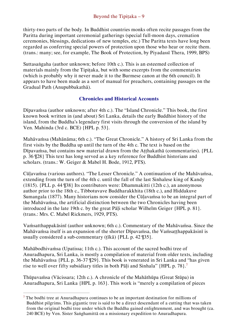thirty-two parts of the body. In Buddhist countries monks often recite passages from the Paritta during important ceremonial gatherings (special full-moon days, cremation ceremonies, blessings, dedications of new temples, etc.) The Paritta texts have long been regarded as conferring special powers of protection upon those who hear or recite them. (trans.: many; see, for example, The Book of Protection, by Piyadassī Thera, 1999, BPS)

Suttasaṅgaha (author unknown; before 10th c.). This is an esteemed collection of materials mainly from the Tipitaka, but with some excerpts from the commentaries (which is probably why it never made it to the Burmese canon at the 6th council). It appears to have been made as a sort of manual for preachers, containing passages on the Gradual Path (Anupubbakathā).

#### <span id="page-9-0"></span>**Chronicles and Historical Accounts**

Dīpavaṁsa (author unknown; after 4th c.). The "Island Chronicle." This book, the first known book written in (and about) Sri Lanka, details the early Buddhist history of the island, from the Buddha's legendary first visits through the conversion of the island by Ven. Mahinda (3rd c. BCE) {HPL p. 53}.

Mahāvaṁsa (Mahānāma; 6th c.). "The Great Chronicle." A history of Sri Lanka from the first visits by the Buddha up until the turn of the 4th c. The text is based on the Dīpavaṁsa, but contains new material drawn from the Aṭṭhakathā (commentaries). {PLL p. 36 ¶28} This text has long served as a key reference for Buddhist historians and scholars. (trans.: W. Geiger & Mabel H. Bode, 1912, PTS).

Cūḷavaṁsa (various authors). "The Lesser Chronicle." A continuation of the Mahāvaṁsa, extending from the turn of the 4th c. until the fall of the last Sinhalese king of Kandy (1815). {PLL p. 44 ¶38} Its contributors were: Dhammakitti (12th c.), an anonymous author prior to the 18th c., Tibbotuvave Buddharakkhita (18th c.), and Hiddakuve Sumangala (1877). Many historians now consider the Cūḷavaṁsa to be an integral part of the Mahāvaṁsa, the artificial distinction between the two Chronicles having been introduced in the late 19th c. by the great Pali scholar Wilhelm Geiger {HPL p. 81}. (trans.: Mrs. C. Mabel Rickmers, 1929, PTS).

Vaṁsatthappakāsinī (author unknown; 6th c.). Commentary of the Mahāvaṁsa. Since the Mahāvaṁsa itself is an expansion of the shorter Dīpavaṁsa, the Vaṁsatthappakāsinī is usually considered a sub-commentary ( $t\bar{t}$ kā) {PLL p. 42 ¶35}.

Mahābodhivaṁsa (Upatissa; 11th c.). This account of the sacred bodhi tree of Anuradhapura, Sri Lanka, is mostly a compilation of material from older texts, including the Mahāvaṁsa {PLL p. 36-37 ¶29}. This book is venerated in Sri Lanka and "has given rise to well over fifty subsidiary titles in both Pāli and Sinhala" {HPL p. 78}.<sup>7</sup>

Thūpavaṁsa (Vācissara; 12th c.). A chronicle of the Mahāthūpa (Great Stūpa) in Anuradhapura, Sri Lanka {HPL p. 163}. This work is "merely a compilation of pieces

 $<sup>7</sup>$  The bodhi tree at Anuradhapura continues to be an important destination for millions of</sup> Buddhist pilgrims. This gigantic tree is said to be a direct descendant of a cutting that was taken from the original bodhi tree under which the Buddha gained enlightenment, and was brought (ca. 240 BCE) by Ven. Sister Saṅghamittā on a missionary expedition to Anuradhapura.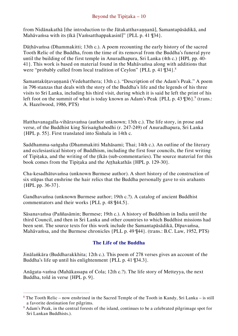from Nidānakathā [the introduction to the Jātakatthavaṇṇanā], Samantapāsādikā, and Mahāvaṁsa with its tīkā [Vaṁsatthappakasinī]" {PLL p. 41 ¶34}.

Dāthāvamsa (Dhammakitti; 13th c.). A poem recounting the early history of the sacred Tooth Relic of the Buddha, from the time of its removal from the Buddha's funeral pyre until the building of the first temple in Anuradhapura, Sri Lanka (4th c.) {HPL pp. 40- 41}. This work is based on material found in the Mahāvaṁsa along with additions that were "probably culled from local tradition of Ceylon" {PLL p. 41 ¶34}.<sup>8</sup>

Samantakūṭavaṇṇanā (Vedehatthera; 13th c.). "Description of the Adam's Peak." A poem in 796 stanzas that deals with the story of the Buddha's life and the legends of his three visits to Sri Lanka, including his third visit, during which it is said he left the print of his left foot on the summit of what is today known as Adam's Peak {PLL p. 43 ¶36}.<sup>9</sup> (trans.: A. Hazelwood, 1986, PTS)

Hatthavanagalla-vihāravaṁsa (author unknown; 13th c.). The life story, in prose and verse, of the Buddhist king Sirisaṅghabodhi (r. 247-249) of Anuradhapura, Sri Lanka {HPL p. 55}. First translated into Sinhala in 14th c.

Saddhamma-saṅgaha (Dhammakitti Mahāsami; Thai; 14th c.). An outline of the literary and ecclesiastical history of Buddhism, including the first four councils, the first writing of Tipitaka, and the writing of the tīkās (sub-commentaries). The source material for this book comes from the Tipitaka and the Atthakathās {HPL p. 129-30}.

Cha-kesadhātuvaṁsa (unknown Burmese author). A short history of the construction of six stūpas that enshrine the hair relics that the Buddha personally gave to six arahants {HPL pp. 36-37}.

Gandhavaṁsa (unknown Burmese author; 19th c.?). A catalog of ancient Buddhist commentators and their works {PLL p. 48 ¶44.5}.

Sāsanavaṁsa (Paññasāmin; Burmese; 19th c.). A history of Buddhism in India until the third Council, and then in Sri Lanka and other countries to which Buddhist missions had been sent. The source texts for this work include the Samantapāsādikā, Dīpavaṁsa, Mahāvaṁsa, and the Burmese chronicles {PLL p. 49 ¶44}. (trans.: B.C. Law, 1952, PTS)

## <span id="page-10-0"></span>**The Life of the Buddha**

Jinālaṅkāra (Buddharakkhita; 12th c.). This poem of 278 verses gives an account of the Buddha's life up until his enlightenment {PLL p. 41 ¶34.3}.

Anāgata-vaṁsa (Mahākassapa of Cola; 12th c.?). The life story of Metteyya, the next Buddha, told in verse {HPL p. 9}.

 $\overline{a}$ <sup>8</sup> The Tooth Relic – now enshrined in the Sacred Temple of the Tooth in Kandy, Sri Lanka – is still a favorite destination for pilgrims.

<sup>9</sup> Adam's Peak, in the central forests of the island, continues to be a celebrated pilgrimage spot for Sri Lankan Buddhists.).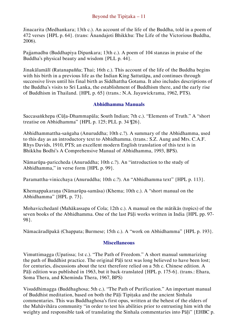Jinacarita (Medhankara; 13th c.). An account of the life of the Buddha, told in a poem of 472 verses {HPL p. 64}. (trans: Ānandajoti Bhikkhu: The Life of the Victorious Buddha, 2006).

Pajjamadhu (Buddhapiya Dipankara; 13th c.). A poem of 104 stanzas in praise of the Buddha's physical beauty and wisdom {PLL p. 44}.

Jinakālamālī (Ratanapañña; Thai; 16th c.). This account of the life of the Buddha begins with his birth in a previous life as the Indian King Sattutāpa, and continues through successive lives until his final birth as Siddhattha Gotama. It also includes descriptions of the Buddha's visits to Sri Lanka, the establishment of Buddhism there, and the early rise of Buddhism in Thailand. {HPL p. 65} (trans.: N.A. Jayawickrama, 1962, PTS).

#### <span id="page-11-0"></span>**Abhidhamma Manuals**

Saccasaṅkhepa (Cūḷa-Dhammapāla; South Indian; 7th c.). "Elements of Truth." A "short treatise on Abhidhamma" {HPL p. 125; PLL p. 34 ¶26}.

Abhidhammattha-saṅgaha (Anuruddha; 10th c.?). A summary of the Abhidhamma, used to this day as an introductory text to Abhidhamma. (trans.: S.Z. Aung and Mrs. C.A.F. Rhys Davids, 1910, PTS; an excellent modern English translation of this text is in Bhikkhu Bodhi's A Comprehensive Manual of Abhidhamma, 1993, BPS).

Nāmarūpa-pariccheda (Anuruddha; 10th c.?). An "introduction to the study of Abhidhamma," in verse form {HPL p. 99}.

Paramattha-vinicchaya (Anuruddha; 10th c.?). An "Abhidhamma text" {HPL p. 113}.

Khemappakaraṇa (Nāmarūpa-samāsa) (Khema; 10th c.). A "short manual on the Abhidhamma" {HPL p. 73}.

Mohavicchedanī (Mahākassapa of Cola; 12th c.). A manual on the mātikās (topics) of the seven books of the Abhidhamma. One of the last Pāli works written in India {HPL pp. 97-98}.

Nāmacāradīpakā (Chappata; Burmese; 15th c.). A "work on Abhidhamma" {HPL p. 193}.

#### <span id="page-11-1"></span>**Miscellaneous**

Vimuttimagga (Upatissa; 1st c.). "The Path of Freedom." A short manual summarizing the path of Buddhist practice. The original Pāḷi text was long believed to have been lost; for centuries, discussions about the text therefore relied on a 5th c. Chinese edition. A Pāli edition was published in 1963, but it back-translated {HPL p. 175-6}. (trans.: Ehara, Soma Thera, and Kheminda Thera, 1967, BPS)

Visuddhimagga (Buddhaghosa; 5th c.). "The Path of Purification." An important manual of Buddhist meditation, based on both the Pāḷi Tipiṭaka and the ancient Sinhala commentaries. This was Buddhaghosa's first opus, written at the behest of the elders of the Mahāvihāra community "in order to test his abilities prior to entrusting him with the weighty and responsible task of translating the Sinhala commentaries into Pāli" {EHBC p.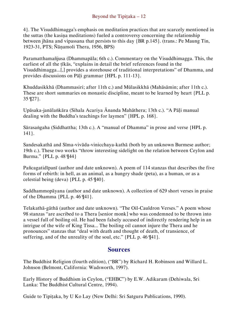4}. The Visuddhimagga's emphasis on meditation practices that are scarcely mentioned in the suttas (the kasiṇa meditations) fueled a controversy concerning the relationship between jhāna and vipassana that persists to this day {BR p.145}. (trans.: Pe Maung Tin, 1923-31, PTS; Ñāṇamoli Thera, 1956, BPS)

Paramatthamañjusa (Dhammapāla; 6th c.). Commentary on the Visuddhimagga. This, the earliest of all the tīkās, "explains in detail the brief references found in the Visuddhimagga...[,] provides a storehouse of traditional interpretations" of Dhamma, and provides discussions on Pāḷi grammar {HPL p. 111-13}.

Khuddasikkhā (Dhammasiri; after 11th c.) and Mūlasikkhā (Mahāsāmin; after 11th c.). These are short summaries on monastic discipline, meant to be learned by heart {PLL p. 35 ¶27}.

Upāsaka-janālaṅkāra (Sihala Acariya Ānanda Mahāthera; 13th c.). "A Pāḷi manual dealing with the Buddha's teachings for laymen" {HPL p. 168}.

Sārasaṅgaha (Siddhattha; 13th c.). A "manual of Dhamma" in prose and verse {HPL p. 141}.

Sandesakathā and Sīma-vivāda-vinicchaya-kathā (both by an unknown Burmese author; 19th c.). These two works "throw interesting sidelight on the relation between Ceylon and Burma." {PLL p. 48 ¶44}

Pañcagatidīpanī (author and date unknown). A poem of 114 stanzas that describes the five forms of rebirth: in hell, as an animal, as a hungry shade (peta), as a human, or as a celestial being (deva) {PLL p. 45 ¶40}.

Saddhammopāyana (author and date unknown). A collection of 629 short verses in praise of the Dhamma {PLL p. 46 ¶41}.

Telakathā-gāthā (author and date unknown). "The Oil-Cauldron Verses." A poem whose 98 stanzas "are ascribed to a Thera [senior monk] who was condemned to be thrown into a vessel full of boiling oil. He had been falsely accused of indirectly rendering help in an intrigue of the wife of King Tissa... The boiling oil cannot injure the Thera and he pronounces" stanzas that "deal with death and thought of death, of transience, of suffering, and of the unreality of the soul, etc." {PLL p. 46 ¶41}.

## <span id="page-12-0"></span>**Sources**

The Buddhist Religion (fourth edition), ("BR") by Richard H. Robinson and Willard L. Johnson (Belmont, California: Wadsworth, 1997).

Early History of Buddhism in Ceylon, ("EHBC") by E.W. Adikaram (Dehiwala, Sri Lanka: The Buddhist Cultural Centre, 1994).

Guide to Tipitaka, by U Ko Lay (New Delhi: Sri Satguru Publications, 1990).